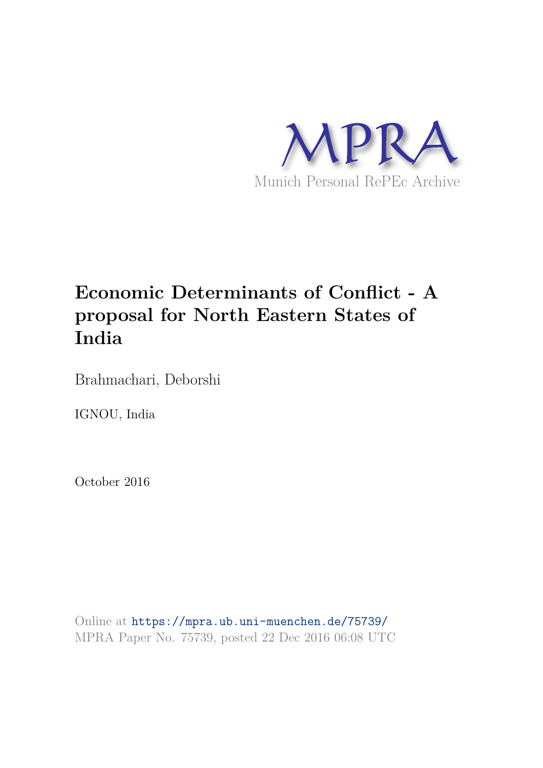

# **Economic Determinants of Conflict - A proposal for North Eastern States of India**

Brahmachari, Deborshi

IGNOU, India

October 2016

Online at https://mpra.ub.uni-muenchen.de/75739/ MPRA Paper No. 75739, posted 22 Dec 2016 06:08 UTC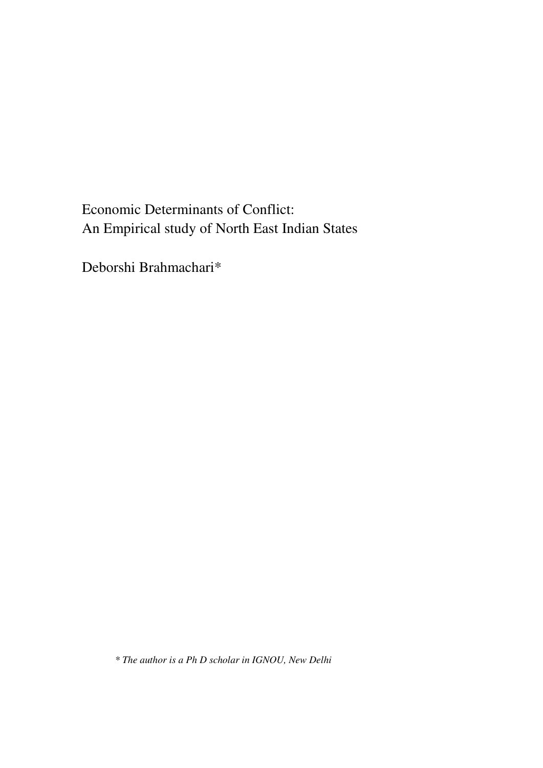Economic Determinants of Conflict: An Empirical study of North East Indian States

Deborshi Brahmachari\*

*\* The author is a Ph D scholar in IGNOU, New Delhi*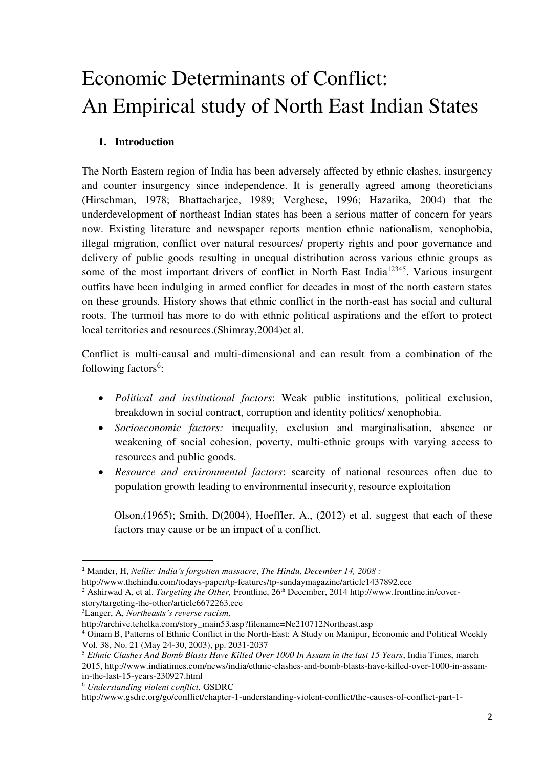# Economic Determinants of Conflict: An Empirical study of North East Indian States

# **1. Introduction**

The North Eastern region of India has been adversely affected by ethnic clashes, insurgency and counter insurgency since independence. It is generally agreed among theoreticians (Hirschman, 1978; Bhattacharjee, 1989; Verghese, 1996; Hazarika, 2004) that the underdevelopment of northeast Indian states has been a serious matter of concern for years now. Existing literature and newspaper reports mention ethnic nationalism, xenophobia, illegal migration, conflict over natural resources/ property rights and poor governance and delivery of public goods resulting in unequal distribution across various ethnic groups as some of the most important drivers of conflict in North East India<sup>12345</sup>. Various insurgent outfits have been indulging in armed conflict for decades in most of the north eastern states on these grounds. History shows that ethnic conflict in the north-east has social and cultural roots. The turmoil has more to do with ethnic political aspirations and the effort to protect local territories and resources.(Shimray,2004)et al.

Conflict is multi-causal and multi-dimensional and can result from a combination of the following factors<sup>6</sup>:

- *Political and institutional factors*: Weak public institutions, political exclusion, breakdown in social contract, corruption and identity politics/ xenophobia.
- *Socioeconomic factors:* inequality, exclusion and marginalisation, absence or weakening of social cohesion, poverty, multi-ethnic groups with varying access to resources and public goods.
- *Resource and environmental factors*: scarcity of national resources often due to population growth leading to environmental insecurity, resource exploitation

Olson,(1965); Smith, D(2004), Hoeffler, A., (2012) et al. suggest that each of these factors may cause or be an impact of a conflict.

<sup>2</sup> Ashirwad A, et al. *Targeting the Other*, Frontline, 26<sup>th</sup> December, 2014 http://www.frontline.in/cover-

 $\overline{a}$ 

<sup>1</sup> Mander, H, *Nellie: India's forgotten massacre*, *The Hindu, December 14, 2008 :*

http://www.thehindu.com/todays-paper/tp-features/tp-sundaymagazine/article1437892.ece

story/targeting-the-other/article6672263.ece

<sup>3</sup>Langer, A, *Northeasts's reverse racism,* 

http://archive.tehelka.com/story\_main53.asp?filename=Ne210712Northeast.asp

<sup>4</sup> Oinam B, Patterns of Ethnic Conflict in the North-East: A Study on Manipur, Economic and Political Weekly Vol. 38, No. 21 (May 24-30, 2003), pp. 2031-2037

<sup>5</sup> *Ethnic Clashes And Bomb Blasts Have Killed Over 1000 In Assam in the last 15 Years*, India Times, march 2015, http://www.indiatimes.com/news/india/ethnic-clashes-and-bomb-blasts-have-killed-over-1000-in-assamin-the-last-15-years-230927.html

<sup>6</sup> *Understanding violent conflict,* GSDRC

http://www.gsdrc.org/go/conflict/chapter-1-understanding-violent-conflict/the-causes-of-conflict-part-1-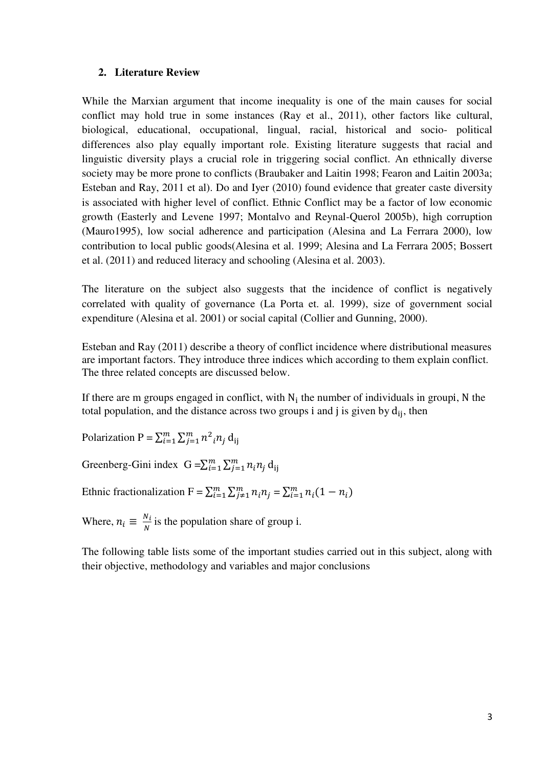#### **2. Literature Review**

While the Marxian argument that income inequality is one of the main causes for social conflict may hold true in some instances (Ray et al., 2011), other factors like cultural, biological, educational, occupational, lingual, racial, historical and socio- political differences also play equally important role. Existing literature suggests that racial and linguistic diversity plays a crucial role in triggering social conflict. An ethnically diverse society may be more prone to conflicts (Braubaker and Laitin 1998; Fearon and Laitin 2003a; Esteban and Ray, 2011 et al). Do and Iyer (2010) found evidence that greater caste diversity is associated with higher level of conflict. Ethnic Conflict may be a factor of low economic growth (Easterly and Levene 1997; Montalvo and Reynal-Querol 2005b), high corruption (Mauro1995), low social adherence and participation (Alesina and La Ferrara 2000), low contribution to local public goods(Alesina et al. 1999; Alesina and La Ferrara 2005; Bossert et al. (2011) and reduced literacy and schooling (Alesina et al. 2003).

The literature on the subject also suggests that the incidence of conflict is negatively correlated with quality of governance (La Porta et. al. 1999), size of government social expenditure (Alesina et al. 2001) or social capital (Collier and Gunning, 2000).

Esteban and Ray (2011) describe a theory of conflict incidence where distributional measures are important factors. They introduce three indices which according to them explain conflict. The three related concepts are discussed below.

If there are m groups engaged in conflict, with  $N_i$  the number of individuals in groupi, N the total population, and the distance across two groups i and j is given by  $d_{ij}$ , then

Polarization P =  $\sum_{i=1}^{m} \sum_{j=1}^{m} n^2_i n_j d_{ij}$ 

Greenberg-Gini index  $G = \sum_{i=1}^{m} \sum_{j=1}^{m} n_i n_j d_{ij}$ 

Ethnic fractionalization  $F = \sum_{i=1}^{m} \sum_{j \neq 1}^{m} n_i n_j = \sum_{i=1}^{m} n_i (1 - n_i)$ 

Where,  $n_i \equiv \frac{N_i}{N}$  $\frac{N_i}{N}$  is the population share of group i.

The following table lists some of the important studies carried out in this subject, along with their objective, methodology and variables and major conclusions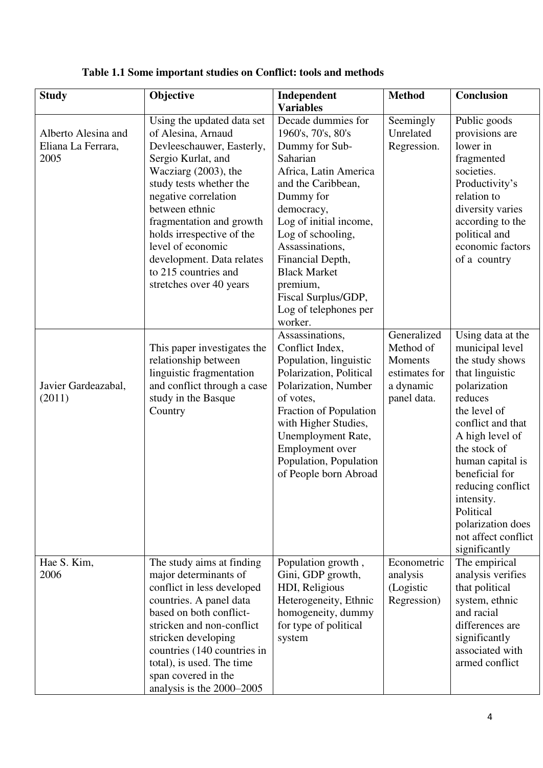| <b>Study</b>                                      | Objective                                                                                                                                                                                                                                                                                                                                                         | Independent                                                                                                                                                                                                                                                                                                                          | <b>Method</b>                                                                    | <b>Conclusion</b>                                                                                                                                                                                                                                                                                                                |
|---------------------------------------------------|-------------------------------------------------------------------------------------------------------------------------------------------------------------------------------------------------------------------------------------------------------------------------------------------------------------------------------------------------------------------|--------------------------------------------------------------------------------------------------------------------------------------------------------------------------------------------------------------------------------------------------------------------------------------------------------------------------------------|----------------------------------------------------------------------------------|----------------------------------------------------------------------------------------------------------------------------------------------------------------------------------------------------------------------------------------------------------------------------------------------------------------------------------|
|                                                   |                                                                                                                                                                                                                                                                                                                                                                   | <b>Variables</b>                                                                                                                                                                                                                                                                                                                     |                                                                                  |                                                                                                                                                                                                                                                                                                                                  |
| Alberto Alesina and<br>Eliana La Ferrara,<br>2005 | Using the updated data set<br>of Alesina, Arnaud<br>Devleeschauwer, Easterly,<br>Sergio Kurlat, and<br>Wacziarg $(2003)$ , the<br>study tests whether the<br>negative correlation<br>between ethnic<br>fragmentation and growth<br>holds irrespective of the<br>level of economic<br>development. Data relates<br>to 215 countries and<br>stretches over 40 years | Decade dummies for<br>1960's, 70's, 80's<br>Dummy for Sub-<br>Saharian<br>Africa, Latin America<br>and the Caribbean,<br>Dummy for<br>democracy,<br>Log of initial income,<br>Log of schooling,<br>Assassinations,<br>Financial Depth,<br><b>Black Market</b><br>premium,<br>Fiscal Surplus/GDP,<br>Log of telephones per<br>worker. | Seemingly<br>Unrelated<br>Regression.                                            | Public goods<br>provisions are<br>lower in<br>fragmented<br>societies.<br>Productivity's<br>relation to<br>diversity varies<br>according to the<br>political and<br>economic factors<br>of a country                                                                                                                             |
| Javier Gardeazabal,<br>(2011)                     | This paper investigates the<br>relationship between<br>linguistic fragmentation<br>and conflict through a case<br>study in the Basque<br>Country                                                                                                                                                                                                                  | Assassinations,<br>Conflict Index,<br>Population, linguistic<br>Polarization, Political<br>Polarization, Number<br>of votes,<br>Fraction of Population<br>with Higher Studies,<br>Unemployment Rate,<br>Employment over<br>Population, Population<br>of People born Abroad                                                           | Generalized<br>Method of<br>Moments<br>estimates for<br>a dynamic<br>panel data. | Using data at the<br>municipal level<br>the study shows<br>that linguistic<br>polarization<br>reduces<br>the level of<br>conflict and that<br>A high level of<br>the stock of<br>human capital is<br>beneficial for<br>reducing conflict<br>intensity.<br>Political<br>polarization does<br>not affect conflict<br>significantly |
| Hae S. Kim,<br>2006                               | The study aims at finding<br>major determinants of<br>conflict in less developed<br>countries. A panel data<br>based on both conflict-<br>stricken and non-conflict<br>stricken developing<br>countries (140 countries in<br>total), is used. The time<br>span covered in the<br>analysis is the 2000–2005                                                        | Population growth,<br>Gini, GDP growth,<br>HDI, Religious<br>Heterogeneity, Ethnic<br>homogeneity, dummy<br>for type of political<br>system                                                                                                                                                                                          | Econometric<br>analysis<br>(Logistic<br>Regression)                              | The empirical<br>analysis verifies<br>that political<br>system, ethnic<br>and racial<br>differences are<br>significantly<br>associated with<br>armed conflict                                                                                                                                                                    |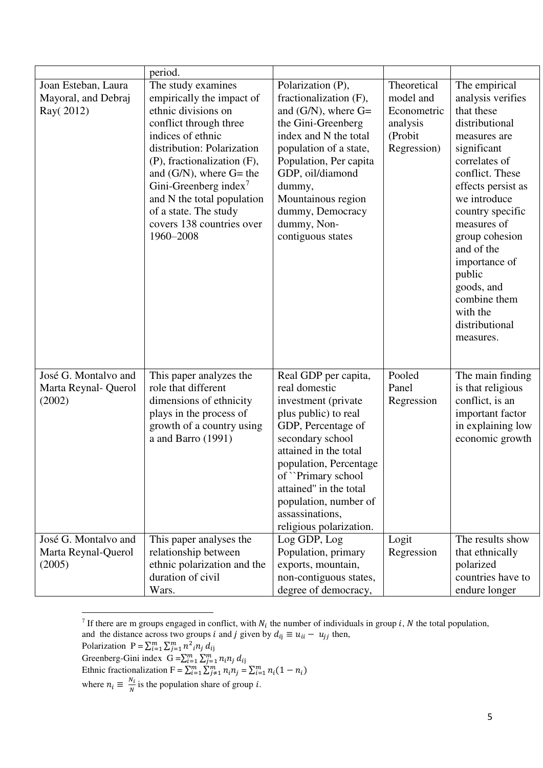|                                                         | period.                                                                                                                                                                                                                                                                                                                                                  |                                                                                                                                                                                                                                                                                                           |                                                                               |                                                                                                                                                                                                                                                                                                                                                    |
|---------------------------------------------------------|----------------------------------------------------------------------------------------------------------------------------------------------------------------------------------------------------------------------------------------------------------------------------------------------------------------------------------------------------------|-----------------------------------------------------------------------------------------------------------------------------------------------------------------------------------------------------------------------------------------------------------------------------------------------------------|-------------------------------------------------------------------------------|----------------------------------------------------------------------------------------------------------------------------------------------------------------------------------------------------------------------------------------------------------------------------------------------------------------------------------------------------|
| Joan Esteban, Laura<br>Mayoral, and Debraj<br>Ray(2012) | The study examines<br>empirically the impact of<br>ethnic divisions on<br>conflict through three<br>indices of ethnic<br>distribution: Polarization<br>(P), fractionalization (F),<br>and $(G/N)$ , where $G=$ the<br>Gini-Greenberg index <sup>7</sup><br>and N the total population<br>of a state. The study<br>covers 138 countries over<br>1960-2008 | Polarization (P),<br>fractionalization (F),<br>and $(G/N)$ , where $G=$<br>the Gini-Greenberg<br>index and N the total<br>population of a state,<br>Population, Per capita<br>GDP, oil/diamond<br>dummy,<br>Mountainous region<br>dummy, Democracy<br>dummy, Non-<br>contiguous states                    | Theoretical<br>model and<br>Econometric<br>analysis<br>(Probit<br>Regression) | The empirical<br>analysis verifies<br>that these<br>distributional<br>measures are<br>significant<br>correlates of<br>conflict. These<br>effects persist as<br>we introduce<br>country specific<br>measures of<br>group cohesion<br>and of the<br>importance of<br>public<br>goods, and<br>combine them<br>with the<br>distributional<br>measures. |
| José G. Montalvo and<br>Marta Reynal- Querol<br>(2002)  | This paper analyzes the<br>role that different<br>dimensions of ethnicity<br>plays in the process of<br>growth of a country using<br>a and Barro (1991)                                                                                                                                                                                                  | Real GDP per capita,<br>real domestic<br>investment (private<br>plus public) to real<br>GDP, Percentage of<br>secondary school<br>attained in the total<br>population, Percentage<br>of "Primary school"<br>attained" in the total<br>population, number of<br>assassinations,<br>religious polarization. | Pooled<br>Panel<br>Regression                                                 | The main finding<br>is that religious<br>conflict, is an<br>important factor<br>in explaining low<br>economic growth                                                                                                                                                                                                                               |
| José G. Montalvo and<br>Marta Reynal-Querol<br>(2005)   | This paper analyses the<br>relationship between<br>ethnic polarization and the<br>duration of civil<br>Wars.                                                                                                                                                                                                                                             | Log GDP, Log<br>Population, primary<br>exports, mountain,<br>non-contiguous states,<br>degree of democracy,                                                                                                                                                                                               | Logit<br>Regression                                                           | The results show<br>that ethnically<br>polarized<br>countries have to<br>endure longer                                                                                                                                                                                                                                                             |

<sup>&</sup>lt;sup>7</sup> If there are m groups engaged in conflict, with  $N_i$  the number of individuals in group *i*, *N* the total population,

Polarization  $P = \sum_{i=1}^{m} \sum_{j=1}^{m} n^2_i n_j d_{ij}$ 

 $\overline{a}$ 

Greenberg-Gini index  $G = \sum_{i=1}^{m} \sum_{j=1}^{m} n_i n_j d_{ij}$ 

Ethnic fractionalization  $F = \sum_{i=1}^{m} \sum_{j=1}^{m} n_i n_j = \sum_{i=1}^{m} n_i (1 - n_i)$ 

where  $n_i \equiv \frac{N_i}{N}$  $\frac{N_i}{N}$  is the population share of group *i*.

and the distance across two groups *i* and *j* given by  $d_{ij} \equiv u_{ii} - u_{jj}$  then,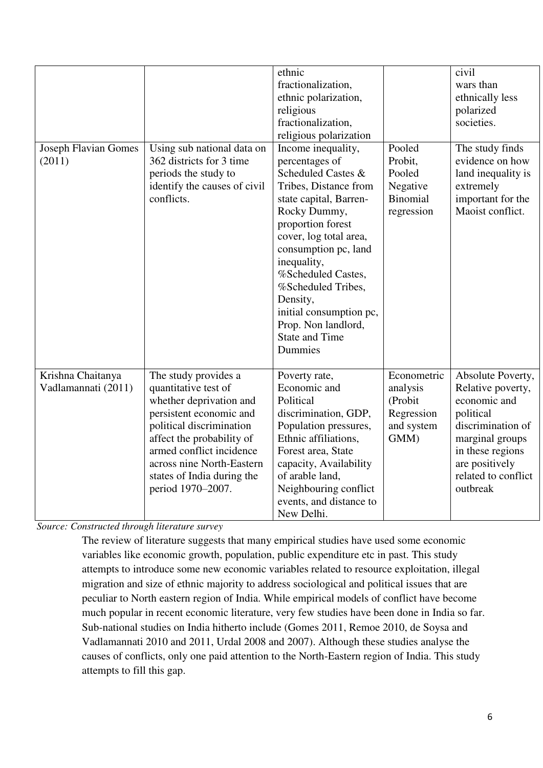| <b>Joseph Flavian Gomes</b><br>(2011)    | Using sub national data on<br>362 districts for 3 time<br>periods the study to<br>identify the causes of civil<br>conflicts.                                                                                                                                            | ethnic<br>fractionalization,<br>ethnic polarization,<br>religious<br>fractionalization,<br>religious polarization<br>Income inequality,<br>percentages of<br>Scheduled Castes &<br>Tribes, Distance from<br>state capital, Barren-<br>Rocky Dummy,<br>proportion forest<br>cover, log total area,<br>consumption pc, land<br>inequality,<br>%Scheduled Castes,<br>%Scheduled Tribes,<br>Density,<br>initial consumption pc,<br>Prop. Non landlord,<br><b>State and Time</b><br>Dummies | Pooled<br>Probit,<br>Pooled<br>Negative<br>Binomial<br>regression      | civil<br>wars than<br>ethnically less<br>polarized<br>societies.<br>The study finds<br>evidence on how<br>land inequality is<br>extremely<br>important for the<br>Maoist conflict.   |
|------------------------------------------|-------------------------------------------------------------------------------------------------------------------------------------------------------------------------------------------------------------------------------------------------------------------------|----------------------------------------------------------------------------------------------------------------------------------------------------------------------------------------------------------------------------------------------------------------------------------------------------------------------------------------------------------------------------------------------------------------------------------------------------------------------------------------|------------------------------------------------------------------------|--------------------------------------------------------------------------------------------------------------------------------------------------------------------------------------|
| Krishna Chaitanya<br>Vadlamannati (2011) | The study provides a<br>quantitative test of<br>whether deprivation and<br>persistent economic and<br>political discrimination<br>affect the probability of<br>armed conflict incidence<br>across nine North-Eastern<br>states of India during the<br>period 1970–2007. | Poverty rate,<br>Economic and<br>Political<br>discrimination, GDP,<br>Population pressures,<br>Ethnic affiliations,<br>Forest area, State<br>capacity, Availability<br>of arable land,<br>Neighbouring conflict<br>events, and distance to<br>New Delhi.                                                                                                                                                                                                                               | Econometric<br>analysis<br>(Probit<br>Regression<br>and system<br>GMM) | Absolute Poverty,<br>Relative poverty,<br>economic and<br>political<br>discrimination of<br>marginal groups<br>in these regions<br>are positively<br>related to conflict<br>outbreak |

*Source: Constructed through literature survey* 

The review of literature suggests that many empirical studies have used some economic variables like economic growth, population, public expenditure etc in past. This study attempts to introduce some new economic variables related to resource exploitation, illegal migration and size of ethnic majority to address sociological and political issues that are peculiar to North eastern region of India. While empirical models of conflict have become much popular in recent economic literature, very few studies have been done in India so far. Sub-national studies on India hitherto include (Gomes 2011, Remoe 2010, de Soysa and Vadlamannati 2010 and 2011, Urdal 2008 and 2007). Although these studies analyse the causes of conflicts, only one paid attention to the North-Eastern region of India. This study attempts to fill this gap.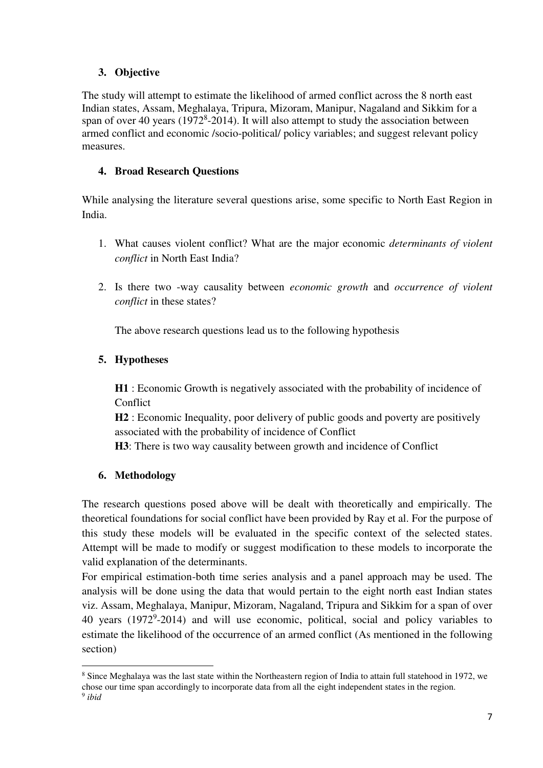# **3. Objective**

The study will attempt to estimate the likelihood of armed conflict across the 8 north east Indian states, Assam, Meghalaya, Tripura, Mizoram, Manipur, Nagaland and Sikkim for a span of over 40 years  $(1972<sup>8</sup>-2014)$ . It will also attempt to study the association between armed conflict and economic /socio-political/ policy variables; and suggest relevant policy measures.

# **4. Broad Research Questions**

While analysing the literature several questions arise, some specific to North East Region in India.

- 1. What causes violent conflict? What are the major economic *determinants of violent conflict* in North East India?
- 2. Is there two -way causality between *economic growth* and *occurrence of violent conflict* in these states?

The above research questions lead us to the following hypothesis

# **5. Hypotheses**

**H1** : Economic Growth is negatively associated with the probability of incidence of Conflict

**H2** : Economic Inequality, poor delivery of public goods and poverty are positively associated with the probability of incidence of Conflict

**H3**: There is two way causality between growth and incidence of Conflict

# **6. Methodology**

The research questions posed above will be dealt with theoretically and empirically. The theoretical foundations for social conflict have been provided by Ray et al. For the purpose of this study these models will be evaluated in the specific context of the selected states. Attempt will be made to modify or suggest modification to these models to incorporate the valid explanation of the determinants.

For empirical estimation-both time series analysis and a panel approach may be used. The analysis will be done using the data that would pertain to the eight north east Indian states viz. Assam, Meghalaya, Manipur, Mizoram, Nagaland, Tripura and Sikkim for a span of over 40 years (1972<sup>9</sup>-2014) and will use economic, political, social and policy variables to estimate the likelihood of the occurrence of an armed conflict (As mentioned in the following section)

l

<sup>&</sup>lt;sup>8</sup> Since Meghalaya was the last state within the Northeastern region of India to attain full statehood in 1972, we chose our time span accordingly to incorporate data from all the eight independent states in the region.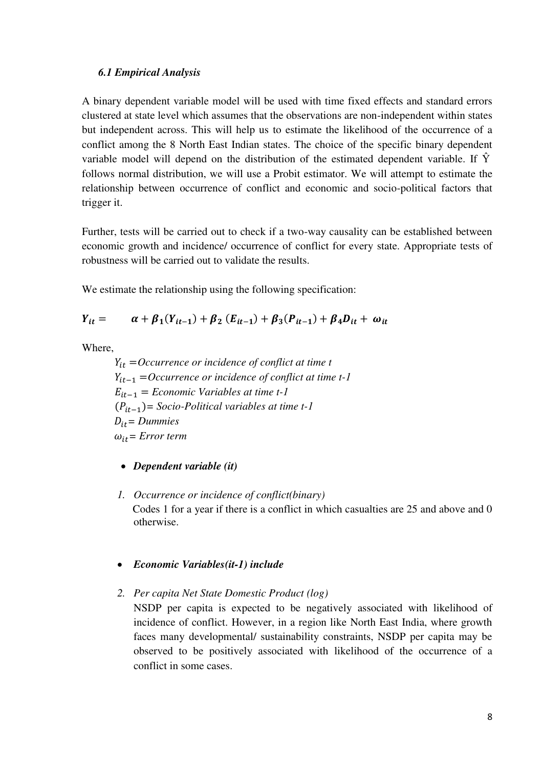#### *6.1 Empirical Analysis*

A binary dependent variable model will be used with time fixed effects and standard errors clustered at state level which assumes that the observations are non-independent within states but independent across. This will help us to estimate the likelihood of the occurrence of a conflict among the 8 North East Indian states. The choice of the specific binary dependent variable model will depend on the distribution of the estimated dependent variable. If  $\hat{Y}$ follows normal distribution, we will use a Probit estimator. We will attempt to estimate the relationship between occurrence of conflict and economic and socio-political factors that trigger it.

Further, tests will be carried out to check if a two-way causality can be established between economic growth and incidence/ occurrence of conflict for every state. Appropriate tests of robustness will be carried out to validate the results.

We estimate the relationship using the following specification:

$$
Y_{it} = \alpha + \beta_1 (Y_{it-1}) + \beta_2 (E_{it-1}) + \beta_3 (P_{it-1}) + \beta_4 D_{it} + \omega_{it}
$$

Where,

 =*Occurrence or incidence of conflict at time t*  −1 =*Occurrence or incidence of conflict at time t-1*  −1 = *Economic Variables at time t-1*  (−1)*= Socio-Political variables at time t-1*   $D_{it} =$  *Dummies*  $\omega_{it}$  = *Error term* 

- *Dependent variable (it)*
- *1. Occurrence or incidence of conflict(binary)*  Codes 1 for a year if there is a conflict in which casualties are 25 and above and 0 otherwise.

#### *Economic Variables(it-1) include*

*2. Per capita Net State Domestic Product (log)* 

NSDP per capita is expected to be negatively associated with likelihood of incidence of conflict. However, in a region like North East India, where growth faces many developmental/ sustainability constraints, NSDP per capita may be observed to be positively associated with likelihood of the occurrence of a conflict in some cases.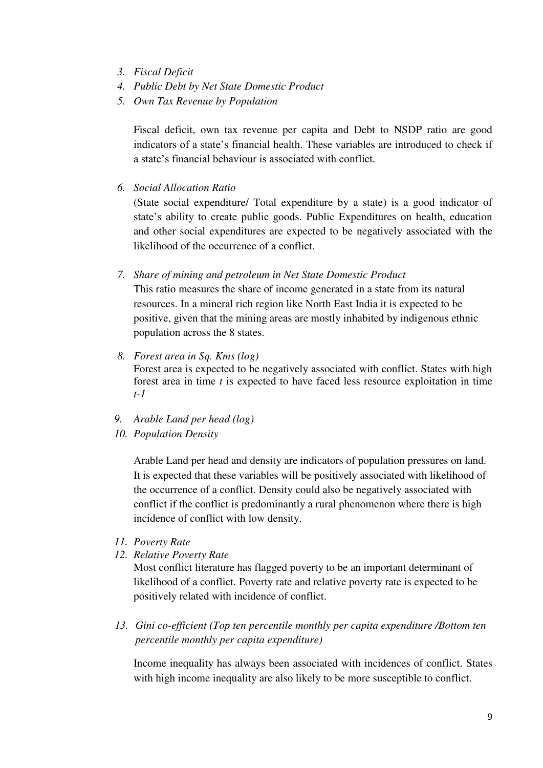- *3. Fiscal Deficit*
- *4. Public Debt by Net State Domestic Product*
- *5. Own Tax Revenue by Population*

Fiscal deficit, own tax revenue per capita and Debt to NSDP ratio are good indicators of a state's financial health. These variables are introduced to check if a state's financial behaviour is associated with conflict.

*6. Social Allocation Ratio* 

(State social expenditure/ Total expenditure by a state) is a good indicator of state's ability to create public goods. Public Expenditures on health, education and other social expenditures are expected to be negatively associated with the likelihood of the occurrence of a conflict.

*7. Share of mining and petroleum in Net State Domestic Product* 

This ratio measures the share of income generated in a state from its natural resources. In a mineral rich region like North East India it is expected to be positive, given that the mining areas are mostly inhabited by indigenous ethnic population across the 8 states.

- *8. Forest area in Sq. Kms (log)*  Forest area is expected to be negatively associated with conflict. States with high forest area in time *t* is expected to have faced less resource exploitation in time *t-1*
- *9. Arable Land per head (log)*
- *10. Population Density*

Arable Land per head and density are indicators of population pressures on land. It is expected that these variables will be positively associated with likelihood of the occurrence of a conflict. Density could also be negatively associated with conflict if the conflict is predominantly a rural phenomenon where there is high incidence of conflict with low density.

- *11. Poverty Rate*
- *12. Relative Poverty Rate*

Most conflict literature has flagged poverty to be an important determinant of likelihood of a conflict. Poverty rate and relative poverty rate is expected to be positively related with incidence of conflict.

*13. Gini co-efficient (Top ten percentile monthly per capita expenditure /Bottom ten percentile monthly per capita expenditure)* 

Income inequality has always been associated with incidences of conflict. States with high income inequality are also likely to be more susceptible to conflict.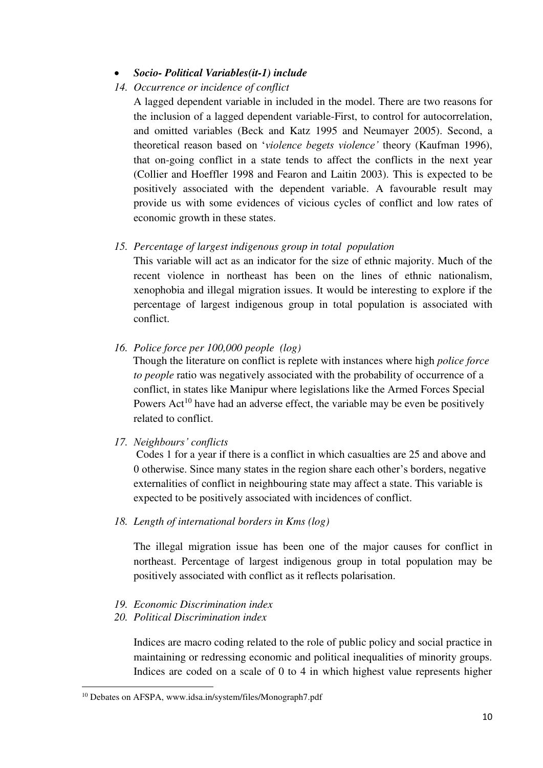#### *Socio- Political Variables(it-1) include*

#### *14. Occurrence or incidence of conflict*

A lagged dependent variable in included in the model. There are two reasons for the inclusion of a lagged dependent variable-First, to control for autocorrelation, and omitted variables (Beck and Katz 1995 and Neumayer 2005). Second, a theoretical reason based on '*violence begets violence'* theory (Kaufman 1996), that on-going conflict in a state tends to affect the conflicts in the next year (Collier and Hoeffler 1998 and Fearon and Laitin 2003). This is expected to be positively associated with the dependent variable. A favourable result may provide us with some evidences of vicious cycles of conflict and low rates of economic growth in these states.

#### *15. Percentage of largest indigenous group in total population*

This variable will act as an indicator for the size of ethnic majority. Much of the recent violence in northeast has been on the lines of ethnic nationalism, xenophobia and illegal migration issues. It would be interesting to explore if the percentage of largest indigenous group in total population is associated with conflict.

*16. Police force per 100,000 people (log)* 

Though the literature on conflict is replete with instances where high *police force to people* ratio was negatively associated with the probability of occurrence of a conflict, in states like Manipur where legislations like the Armed Forces Special Powers  $Act^{10}$  have had an adverse effect, the variable may be even be positively related to conflict.

*17. Neighbours' conflicts* 

Codes 1 for a year if there is a conflict in which casualties are 25 and above and 0 otherwise. Since many states in the region share each other's borders, negative externalities of conflict in neighbouring state may affect a state. This variable is expected to be positively associated with incidences of conflict.

*18. Length of international borders in Kms (log)* 

The illegal migration issue has been one of the major causes for conflict in northeast. Percentage of largest indigenous group in total population may be positively associated with conflict as it reflects polarisation.

- *19. Economic Discrimination index*
- *20. Political Discrimination index*

Indices are macro coding related to the role of public policy and social practice in maintaining or redressing economic and political inequalities of minority groups. Indices are coded on a scale of 0 to 4 in which highest value represents higher

 $\overline{a}$ 

<sup>10</sup> Debates on AFSPA, www.idsa.in/system/files/Monograph7.pdf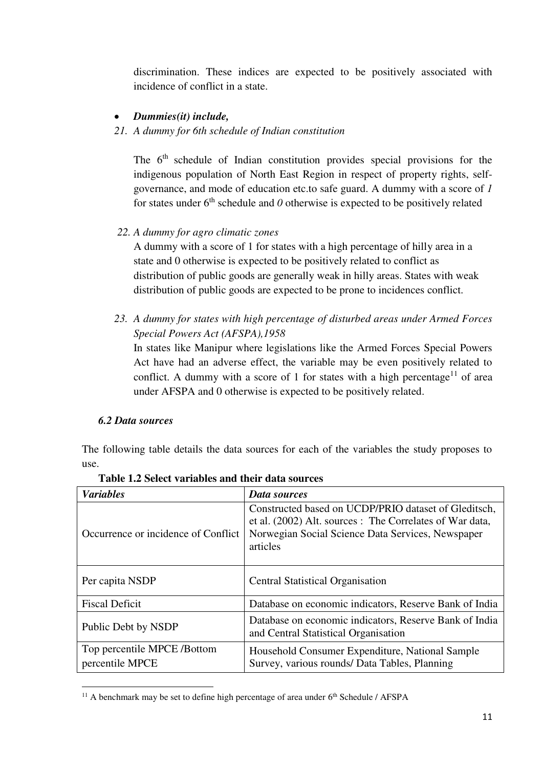discrimination. These indices are expected to be positively associated with incidence of conflict in a state.

#### *Dummies(it) include,*

# *21. A dummy for 6th schedule of Indian constitution*

The 6<sup>th</sup> schedule of Indian constitution provides special provisions for the indigenous population of North East Region in respect of property rights, selfgovernance, and mode of education etc.to safe guard. A dummy with a score of *1* for states under  $6<sup>th</sup>$  schedule and  $0$  otherwise is expected to be positively related

# *22. A dummy for agro climatic zones*

A dummy with a score of 1 for states with a high percentage of hilly area in a state and 0 otherwise is expected to be positively related to conflict as distribution of public goods are generally weak in hilly areas. States with weak distribution of public goods are expected to be prone to incidences conflict.

*23. A dummy for states with high percentage of disturbed areas under Armed Forces Special Powers Act (AFSPA),1958* 

In states like Manipur where legislations like the Armed Forces Special Powers Act have had an adverse effect, the variable may be even positively related to conflict. A dummy with a score of 1 for states with a high percentage<sup>11</sup> of area under AFSPA and 0 otherwise is expected to be positively related.

#### *6.2 Data sources*

 $\overline{a}$ 

The following table details the data sources for each of the variables the study proposes to use.

| <b>Variables</b>                              | Data sources                                                                                                                                                                      |
|-----------------------------------------------|-----------------------------------------------------------------------------------------------------------------------------------------------------------------------------------|
| Occurrence or incidence of Conflict           | Constructed based on UCDP/PRIO dataset of Gleditsch,<br>et al. (2002) Alt. sources : The Correlates of War data,<br>Norwegian Social Science Data Services, Newspaper<br>articles |
| Per capita NSDP                               | <b>Central Statistical Organisation</b>                                                                                                                                           |
| <b>Fiscal Deficit</b>                         | Database on economic indicators, Reserve Bank of India                                                                                                                            |
| Public Debt by NSDP                           | Database on economic indicators, Reserve Bank of India<br>and Central Statistical Organisation                                                                                    |
| Top percentile MPCE/Bottom<br>percentile MPCE | Household Consumer Expenditure, National Sample<br>Survey, various rounds/ Data Tables, Planning                                                                                  |

#### **Table 1.2 Select variables and their data sources**

<sup>&</sup>lt;sup>11</sup> A benchmark may be set to define high percentage of area under  $6<sup>th</sup>$  Schedule / AFSPA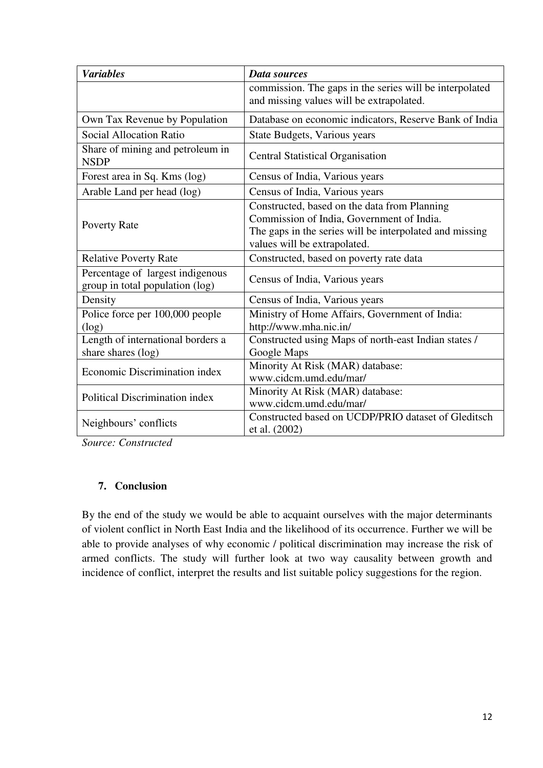| <b>Variables</b>                                                    | <b>Data sources</b>                                                                                                                                                                  |  |
|---------------------------------------------------------------------|--------------------------------------------------------------------------------------------------------------------------------------------------------------------------------------|--|
|                                                                     | commission. The gaps in the series will be interpolated<br>and missing values will be extrapolated.                                                                                  |  |
| Own Tax Revenue by Population                                       | Database on economic indicators, Reserve Bank of India                                                                                                                               |  |
| Social Allocation Ratio                                             | State Budgets, Various years                                                                                                                                                         |  |
| Share of mining and petroleum in<br><b>NSDP</b>                     | <b>Central Statistical Organisation</b>                                                                                                                                              |  |
| Forest area in Sq. Kms (log)                                        | Census of India, Various years                                                                                                                                                       |  |
| Arable Land per head (log)                                          | Census of India, Various years                                                                                                                                                       |  |
| <b>Poverty Rate</b>                                                 | Constructed, based on the data from Planning<br>Commission of India, Government of India.<br>The gaps in the series will be interpolated and missing<br>values will be extrapolated. |  |
| <b>Relative Poverty Rate</b>                                        | Constructed, based on poverty rate data                                                                                                                                              |  |
| Percentage of largest indigenous<br>group in total population (log) | Census of India, Various years                                                                                                                                                       |  |
| Density                                                             | Census of India, Various years                                                                                                                                                       |  |
| Police force per 100,000 people<br>(log)                            | Ministry of Home Affairs, Government of India:<br>http://www.mha.nic.in/                                                                                                             |  |
| Length of international borders a<br>share shares (log)             | Constructed using Maps of north-east Indian states /<br>Google Maps                                                                                                                  |  |
| Economic Discrimination index                                       | Minority At Risk (MAR) database:<br>www.cidcm.umd.edu/mar/                                                                                                                           |  |
| Political Discrimination index                                      | Minority At Risk (MAR) database:<br>www.cidcm.umd.edu/mar/                                                                                                                           |  |
| Neighbours' conflicts                                               | Constructed based on UCDP/PRIO dataset of Gleditsch<br>et al. (2002)                                                                                                                 |  |

*Source: Constructed* 

# **7. Conclusion**

By the end of the study we would be able to acquaint ourselves with the major determinants of violent conflict in North East India and the likelihood of its occurrence. Further we will be able to provide analyses of why economic / political discrimination may increase the risk of armed conflicts. The study will further look at two way causality between growth and incidence of conflict, interpret the results and list suitable policy suggestions for the region.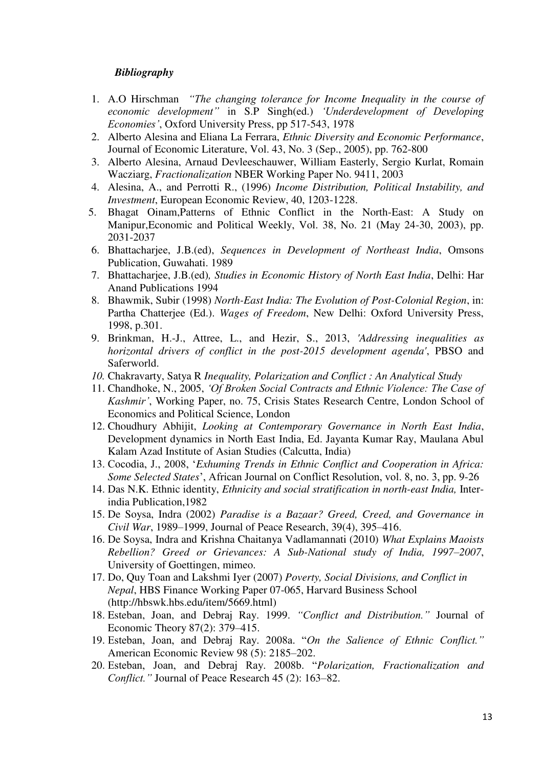#### *Bibliography*

- 1. A.O Hirschman *"The changing tolerance for Income Inequality in the course of economic development"* in S.P Singh(ed.) *'Underdevelopment of Developing Economies'*, Oxford University Press, pp 517-543, 1978
- 2. Alberto Alesina and Eliana La Ferrara, *Ethnic Diversity and Economic Performance*, Journal of Economic Literature, Vol. 43, No. 3 (Sep., 2005), pp. 762-800
- 3. Alberto Alesina, Arnaud Devleeschauwer, William Easterly, Sergio Kurlat, Romain Wacziarg, *Fractionalization* NBER Working Paper No. 9411, 2003
- 4. Alesina, A., and Perrotti R., (1996) *Income Distribution, Political Instability, and Investment*, European Economic Review, 40, 1203-1228.
- 5. Bhagat Oinam,Patterns of Ethnic Conflict in the North-East: A Study on Manipur,Economic and Political Weekly, Vol. 38, No. 21 (May 24-30, 2003), pp. 2031-2037
- 6. Bhattacharjee, J.B.(ed), *Sequences in Development of Northeast India*, Omsons Publication, Guwahati. 1989
- 7. Bhattacharjee, J.B.(ed)*, Studies in Economic History of North East India*, Delhi: Har Anand Publications 1994
- 8. Bhawmik, Subir (1998) *North-East India: The Evolution of Post-Colonial Region*, in: Partha Chatterjee (Ed.). *Wages of Freedom*, New Delhi: Oxford University Press, 1998, p.301.
- 9. Brinkman, H.-J., Attree, L., and Hezir, S., 2013, *'Addressing inequalities as horizontal drivers of conflict in the post-2015 development agenda'*, PBSO and Saferworld.
- *10.* Chakravarty, Satya R *Inequality, Polarization and Conflict : An Analytical Study*
- 11. Chandhoke, N., 2005, *'Of Broken Social Contracts and Ethnic Violence: The Case of Kashmir'*, Working Paper, no. 75, Crisis States Research Centre, London School of Economics and Political Science, London
- 12. Choudhury Abhijit, *Looking at Contemporary Governance in North East India*, Development dynamics in North East India, Ed. Jayanta Kumar Ray, Maulana Abul Kalam Azad Institute of Asian Studies (Calcutta, India)
- 13. Cocodia, J., 2008, '*Exhuming Trends in Ethnic Conflict and Cooperation in Africa: Some Selected States*', African Journal on Conflict Resolution, vol. 8, no. 3, pp. 9-26
- 14. Das N.K. Ethnic identity, *Ethnicity and social stratification in north-east India,* Interindia Publication,1982
- 15. De Soysa, Indra (2002) *Paradise is a Bazaar? Greed, Creed, and Governance in Civil War*, 1989–1999, Journal of Peace Research, 39(4), 395–416.
- 16. De Soysa, Indra and Krishna Chaitanya Vadlamannati (2010) *What Explains Maoists Rebellion? Greed or Grievances: A Sub-National study of India, 1997–2007*, University of Goettingen, mimeo.
- 17. Do, Quy Toan and Lakshmi Iyer (2007) *Poverty, Social Divisions, and Conflict in Nepal*, HBS Finance Working Paper 07-065, Harvard Business School (http://hbswk.hbs.edu/item/5669.html)
- 18. Esteban, Joan, and Debraj Ray. 1999. *"Conflict and Distribution."* Journal of Economic Theory 87(2): 379–415.
- 19. Esteban, Joan, and Debraj Ray. 2008a. "*On the Salience of Ethnic Conflict."* American Economic Review 98 (5): 2185–202.
- 20. Esteban, Joan, and Debraj Ray. 2008b. "*Polarization, Fractionalization and Conflict."* Journal of Peace Research 45 (2): 163–82.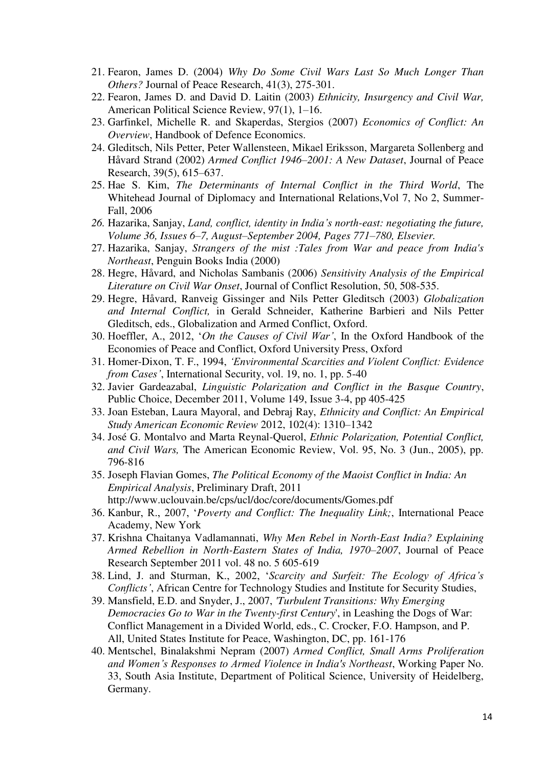- 21. Fearon, James D. (2004) *Why Do Some Civil Wars Last So Much Longer Than Others?* Journal of Peace Research, 41(3), 275-301.
- 22. Fearon, James D. and David D. Laitin (2003) *Ethnicity, Insurgency and Civil War,* American Political Science Review, 97(1), 1–16.
- 23. Garfinkel, Michelle R. and Skaperdas, Stergios (2007) *Economics of Conflict: An Overview*, Handbook of Defence Economics.
- 24. Gleditsch, Nils Petter, Peter Wallensteen, Mikael Eriksson, Margareta Sollenberg and Håvard Strand (2002) *Armed Conflict 1946–2001: A New Dataset*, Journal of Peace Research, 39(5), 615–637.
- 25. Hae S. Kim, *The Determinants of Internal Conflict in the Third World*, The Whitehead Journal of Diplomacy and International Relations,Vol 7, No 2, Summer-Fall, 2006
- *26.* Hazarika, Sanjay, *Land, conflict, identity in India's north-east: negotiating the future, Volume 36, Issues 6–7, August–September 2004, Pages 771–780, Elsevier.*
- 27. Hazarika, Sanjay, *Strangers of the mist :Tales from War and peace from India's Northeast*, Penguin Books India (2000)
- 28. Hegre, Håvard, and Nicholas Sambanis (2006) *Sensitivity Analysis of the Empirical Literature on Civil War Onset*, Journal of Conflict Resolution, 50, 508-535.
- 29. Hegre, Håvard, Ranveig Gissinger and Nils Petter Gleditsch (2003) *Globalization and Internal Conflict,* in Gerald Schneider, Katherine Barbieri and Nils Petter Gleditsch, eds., Globalization and Armed Conflict, Oxford.
- 30. Hoeffler, A., 2012, '*On the Causes of Civil War'*, In the Oxford Handbook of the Economies of Peace and Conflict, Oxford University Press, Oxford
- 31. Homer-Dixon, T. F., 1994, *'Environmental Scarcities and Violent Conflict: Evidence from Cases'*, International Security, vol. 19, no. 1, pp. 5-40
- 32. Javier Gardeazabal, *Linguistic Polarization and Conflict in the Basque Country*, Public Choice, December 2011, Volume 149, Issue 3-4, pp 405-425
- 33. Joan Esteban, Laura Mayoral, and Debraj Ray, *Ethnicity and Conflict: An Empirical Study American Economic Review* 2012, 102(4): 1310–1342
- 34. José G. Montalvo and Marta Reynal-Querol, *Ethnic Polarization, Potential Conflict, and Civil Wars,* The American Economic Review, Vol. 95, No. 3 (Jun., 2005), pp. 796-816
- 35. Joseph Flavian Gomes, *The Political Economy of the Maoist Conflict in India: An Empirical Analysis*, Preliminary Draft, 2011 http://www.uclouvain.be/cps/ucl/doc/core/documents/Gomes.pdf
- 36. Kanbur, R., 2007, '*Poverty and Conflict: The Inequality Link;*, International Peace Academy, New York
- 37. Krishna Chaitanya Vadlamannati, *Why Men Rebel in North-East India? Explaining Armed Rebellion in North-Eastern States of India, 1970–2007*, Journal of Peace Research September 2011 vol. 48 no. 5 605-619
- 38. Lind, J. and Sturman, K., 2002, '*Scarcity and Surfeit: The Ecology of Africa's Conflicts'*, African Centre for Technology Studies and Institute for Security Studies,
- 39. Mansfield, E.D. and Snyder, J., 2007, *'Turbulent Transitions: Why Emerging Democracies Go to War in the Twenty-first Century*', in Leashing the Dogs of War: Conflict Management in a Divided World, eds., C. Crocker, F.O. Hampson, and P. All, United States Institute for Peace, Washington, DC, pp. 161-176
- 40. Mentschel, Binalakshmi Nepram (2007) *Armed Conflict, Small Arms Proliferation and Women's Responses to Armed Violence in India's Northeast*, Working Paper No. 33, South Asia Institute, Department of Political Science, University of Heidelberg, Germany.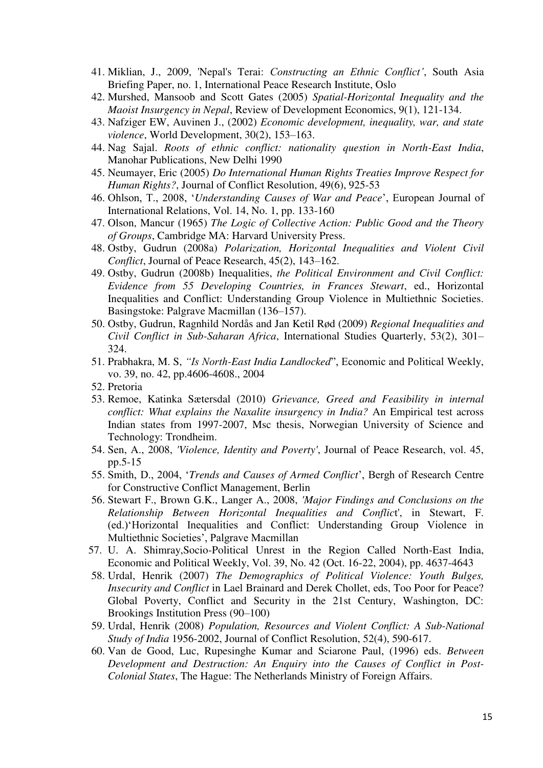- 41. Miklian, J., 2009, 'Nepal's Terai: *Constructing an Ethnic Conflict'*, South Asia Briefing Paper, no. 1, International Peace Research Institute, Oslo
- 42. Murshed, Mansoob and Scott Gates (2005) *Spatial-Horizontal Inequality and the Maoist Insurgency in Nepal*, Review of Development Economics, 9(1), 121-134.
- 43. Nafziger EW, Auvinen J., (2002) *Economic development, inequality, war, and state violence*, World Development, 30(2), 153–163.
- 44. Nag Sajal. *Roots of ethnic conflict: nationality question in North-East India*, Manohar Publications, New Delhi 1990
- 45. Neumayer, Eric (2005) *Do International Human Rights Treaties Improve Respect for Human Rights?*, Journal of Conflict Resolution, 49(6), 925-53
- 46. Ohlson, T., 2008, '*Understanding Causes of War and Peace*', European Journal of International Relations, Vol. 14, No. 1, pp. 133-160
- 47. Olson, Mancur (1965) *The Logic of Collective Action: Public Good and the Theory of Groups*, Cambridge MA: Harvard University Press.
- 48. Ostby, Gudrun (2008a) *Polarization, Horizontal Inequalities and Violent Civil Conflict*, Journal of Peace Research, 45(2), 143–162.
- 49. Ostby, Gudrun (2008b) Inequalities, *the Political Environment and Civil Conflict: Evidence from 55 Developing Countries, in Frances Stewart*, ed., Horizontal Inequalities and Conflict: Understanding Group Violence in Multiethnic Societies. Basingstoke: Palgrave Macmillan (136–157).
- 50. Ostby, Gudrun, Ragnhild Nordås and Jan Ketil Rød (2009) *Regional Inequalities and Civil Conflict in Sub-Saharan Africa*, International Studies Quarterly, 53(2), 301– 324.
- 51. Prabhakra, M. S, *"Is North-East India Landlocked*", Economic and Political Weekly, vo. 39, no. 42, pp.4606-4608., 2004
- 52. Pretoria
- 53. Remoe, Katinka Sætersdal (2010) *Grievance, Greed and Feasibility in internal conflict: What explains the Naxalite insurgency in India?* An Empirical test across Indian states from 1997-2007, Msc thesis, Norwegian University of Science and Technology: Trondheim.
- 54. Sen, A., 2008, *'Violence, Identity and Poverty'*, Journal of Peace Research, vol. 45, pp.5-15
- 55. Smith, D., 2004, '*Trends and Causes of Armed Conflict*', Bergh of Research Centre for Constructive Conflict Management, Berlin
- 56. Stewart F., Brown G.K., Langer A., 2008, *'Major Findings and Conclusions on the Relationship Between Horizontal Inequalities and Conflic*t', in Stewart, F. (ed.)'Horizontal Inequalities and Conflict: Understanding Group Violence in Multiethnic Societies', Palgrave Macmillan
- 57. U. A. Shimray,Socio-Political Unrest in the Region Called North-East India, Economic and Political Weekly, Vol. 39, No. 42 (Oct. 16-22, 2004), pp. 4637-4643
- 58. Urdal, Henrik (2007) *The Demographics of Political Violence: Youth Bulges, Insecurity and Conflict* in Lael Brainard and Derek Chollet, eds, Too Poor for Peace? Global Poverty, Conflict and Security in the 21st Century, Washington, DC: Brookings Institution Press (90–100)
- 59. Urdal, Henrik (2008) *Population, Resources and Violent Conflict: A Sub-National Study of India* 1956-2002, Journal of Conflict Resolution, 52(4), 590-617.
- 60. Van de Good, Luc, Rupesinghe Kumar and Sciarone Paul, (1996) eds. *Between Development and Destruction: An Enquiry into the Causes of Conflict in Post-Colonial States*, The Hague: The Netherlands Ministry of Foreign Affairs.